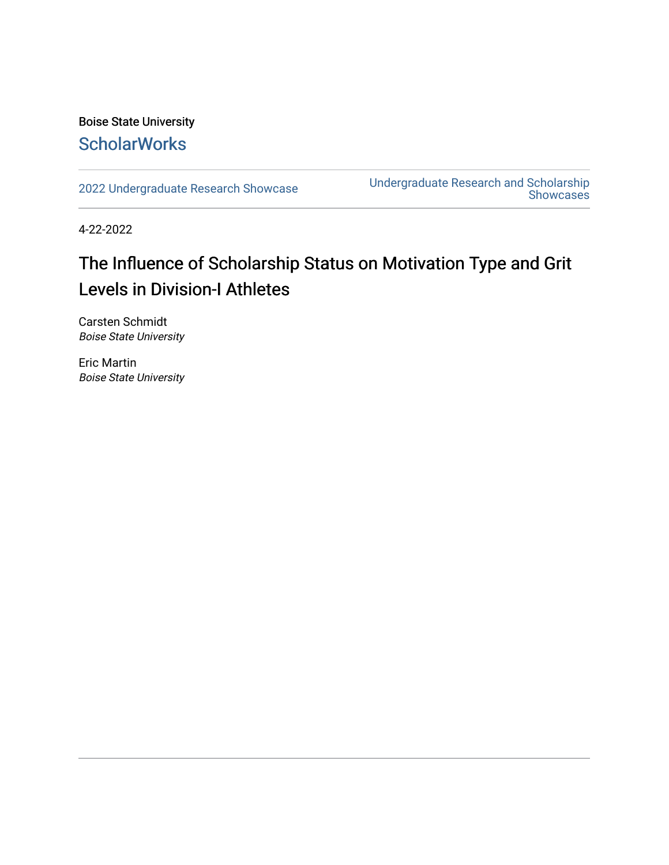#### Boise State University **ScholarWorks**

[2022 Undergraduate Research Showcase](https://scholarworks.boisestate.edu/under_showcase_2022) [Undergraduate Research and Scholarship](https://scholarworks.boisestate.edu/under_conference)  [Showcases](https://scholarworks.boisestate.edu/under_conference) 

4-22-2022

#### The Influence of Scholarship Status on Motivation Type and Grit Levels in Division-I Athletes

Carsten Schmidt Boise State University

Eric Martin Boise State University